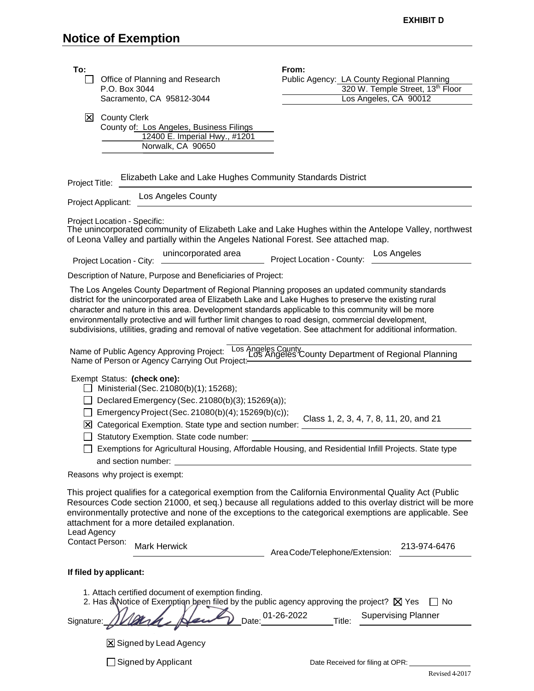| To:                                                                                                                                                                                                                                                                                                                                                                                                                                                                                                                                 |                                                                                                                       | From:                                                                                                |
|-------------------------------------------------------------------------------------------------------------------------------------------------------------------------------------------------------------------------------------------------------------------------------------------------------------------------------------------------------------------------------------------------------------------------------------------------------------------------------------------------------------------------------------|-----------------------------------------------------------------------------------------------------------------------|------------------------------------------------------------------------------------------------------|
|                                                                                                                                                                                                                                                                                                                                                                                                                                                                                                                                     | Office of Planning and Research<br>P.O. Box 3044                                                                      | Public Agency: LA County Regional Planning<br>320 W. Temple Street, 13th Floor                       |
|                                                                                                                                                                                                                                                                                                                                                                                                                                                                                                                                     | Sacramento, CA 95812-3044                                                                                             | Los Angeles, CA 90012                                                                                |
| $\mathbf{X}$                                                                                                                                                                                                                                                                                                                                                                                                                                                                                                                        | <b>County Clerk</b><br>County of: Los Angeles, Business Filings<br>12400 E. Imperial Hwy., #1201<br>Norwalk, CA 90650 |                                                                                                      |
| Elizabeth Lake and Lake Hughes Community Standards District<br>Project Title:                                                                                                                                                                                                                                                                                                                                                                                                                                                       |                                                                                                                       |                                                                                                      |
|                                                                                                                                                                                                                                                                                                                                                                                                                                                                                                                                     | Los Angeles County<br>Project Applicant:                                                                              |                                                                                                      |
|                                                                                                                                                                                                                                                                                                                                                                                                                                                                                                                                     | Project Location - Specific:<br>of Leona Valley and partially within the Angeles National Forest. See attached map.   | The unincorporated community of Elizabeth Lake and Lake Hughes within the Antelope Valley, northwest |
| unincorporated area<br>Los Angeles<br>unnoupurated area Project Location - County:<br>Project Location - City:                                                                                                                                                                                                                                                                                                                                                                                                                      |                                                                                                                       |                                                                                                      |
|                                                                                                                                                                                                                                                                                                                                                                                                                                                                                                                                     | Description of Nature, Purpose and Beneficiaries of Project:                                                          |                                                                                                      |
| The Los Angeles County Department of Regional Planning proposes an updated community standards<br>district for the unincorporated area of Elizabeth Lake and Lake Hughes to preserve the existing rural<br>character and nature in this area. Development standards applicable to this community will be more<br>environmentally protective and will further limit changes to road design, commercial development,<br>subdivisions, utilities, grading and removal of native vegetation. See attachment for additional information. |                                                                                                                       |                                                                                                      |
| Name of Public Agency Approving Project: Los Angeles County<br>Name of Person or Agency Carrying Out Project: Los Angeles County Department of Regional Planning                                                                                                                                                                                                                                                                                                                                                                    |                                                                                                                       |                                                                                                      |
| Exempt Status: (check one):<br>$\Box$ Ministerial (Sec. 21080(b)(1); 15268);<br>Declared Emergency (Sec. 21080(b)(3); 15269(a));<br>Emergency Project (Sec. 21080(b)(4); 15269(b)(c));<br>Class 1, 2, 3, 4, 7, 8, 11, 20, and 21<br>X Categorical Exemption. State type and section number: view<br>Statutory Exemption. State code number:<br>$\Box$<br>Exemptions for Agricultural Housing, Affordable Housing, and Residential Infill Projects. State type<br>and section number:                                                |                                                                                                                       |                                                                                                      |
|                                                                                                                                                                                                                                                                                                                                                                                                                                                                                                                                     | Reasons why project is exempt:                                                                                        |                                                                                                      |
| This project qualifies for a categorical exemption from the California Environmental Quality Act (Public<br>Resources Code section 21000, et seq.) because all regulations added to this overlay district will be more<br>environmentally protective and none of the exceptions to the categorical exemptions are applicable. See<br>attachment for a more detailed explanation.<br>Lead Agency<br><b>Contact Person:</b><br><b>Mark Herwick</b><br>213-974-6476<br>Area Code/Telephone/Extension:                                  |                                                                                                                       |                                                                                                      |
|                                                                                                                                                                                                                                                                                                                                                                                                                                                                                                                                     | If filed by applicant:                                                                                                |                                                                                                      |
| 1. Attach certified document of exemption finding.<br>2. Has a Notice of Exemption been filed by the public agency approving the project? X Yes<br>∣No<br><b>Supervising Planner</b><br>Date: 01-26-2022<br>Title:<br>Signature:                                                                                                                                                                                                                                                                                                    |                                                                                                                       |                                                                                                      |
|                                                                                                                                                                                                                                                                                                                                                                                                                                                                                                                                     | X Signed by Lead Agency                                                                                               |                                                                                                      |
|                                                                                                                                                                                                                                                                                                                                                                                                                                                                                                                                     | Signed by Applicant                                                                                                   | Date Received for filing at OPR:<br>Revised 4-2017                                                   |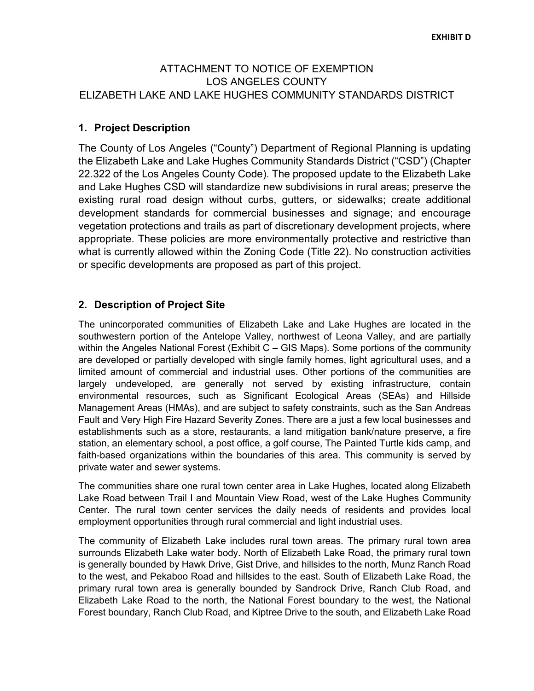## ATTACHMENT TO NOTICE OF EXEMPTION LOS ANGELES COUNTY ELIZABETH LAKE AND LAKE HUGHES COMMUNITY STANDARDS DISTRICT

## **1. Project Description**

The County of Los Angeles ("County") Department of Regional Planning is updating the Elizabeth Lake and Lake Hughes Community Standards District ("CSD") (Chapter 22.322 of the Los Angeles County Code). The proposed update to the Elizabeth Lake and Lake Hughes CSD will standardize new subdivisions in rural areas; preserve the existing rural road design without curbs, gutters, or sidewalks; create additional development standards for commercial businesses and signage; and encourage vegetation protections and trails as part of discretionary development projects, where appropriate. These policies are more environmentally protective and restrictive than what is currently allowed within the Zoning Code (Title 22). No construction activities or specific developments are proposed as part of this project.

## **2. Description of Project Site**

The unincorporated communities of Elizabeth Lake and Lake Hughes are located in the southwestern portion of the Antelope Valley, northwest of Leona Valley, and are partially within the Angeles National Forest (Exhibit C – GIS Maps). Some portions of the community are developed or partially developed with single family homes, light agricultural uses, and a limited amount of commercial and industrial uses. Other portions of the communities are largely undeveloped, are generally not served by existing infrastructure, contain environmental resources, such as Significant Ecological Areas (SEAs) and Hillside Management Areas (HMAs), and are subject to safety constraints, such as the San Andreas Fault and Very High Fire Hazard Severity Zones. There are a just a few local businesses and establishments such as a store, restaurants, a land mitigation bank/nature preserve, a fire station, an elementary school, a post office, a golf course, The Painted Turtle kids camp, and faith-based organizations within the boundaries of this area. This community is served by private water and sewer systems.

The communities share one rural town center area in Lake Hughes, located along Elizabeth Lake Road between Trail I and Mountain View Road, west of the Lake Hughes Community Center. The rural town center services the daily needs of residents and provides local employment opportunities through rural commercial and light industrial uses.

The community of Elizabeth Lake includes rural town areas. The primary rural town area surrounds Elizabeth Lake water body. North of Elizabeth Lake Road, the primary rural town is generally bounded by Hawk Drive, Gist Drive, and hillsides to the north, Munz Ranch Road to the west, and Pekaboo Road and hillsides to the east. South of Elizabeth Lake Road, the primary rural town area is generally bounded by Sandrock Drive, Ranch Club Road, and Elizabeth Lake Road to the north, the National Forest boundary to the west, the National Forest boundary, Ranch Club Road, and Kiptree Drive to the south, and Elizabeth Lake Road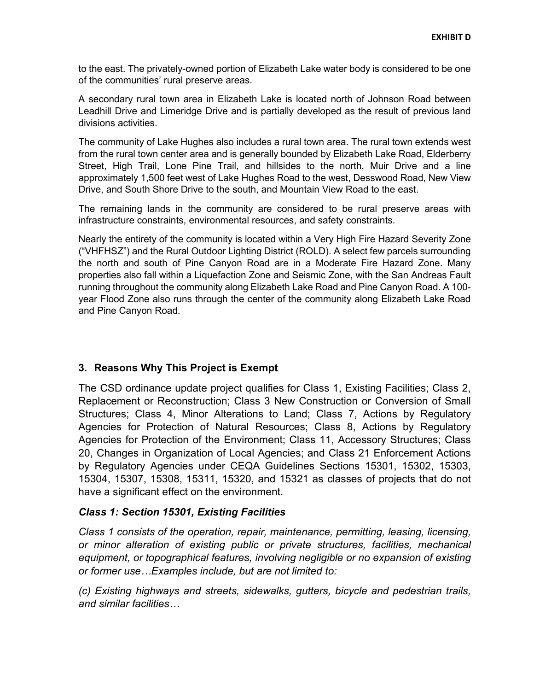to the east. The privately-owned portion of Elizabeth Lake water body is considered to be one of the communities' rural preserve areas.

A secondary rural town area in Elizabeth Lake is located north of Johnson Road between Leadhill Drive and Limeridge Drive and is partially developed as the result of previous land divisions activities.

The community of Lake Hughes also includes a rural town area. The rural town extends west from the rural town center area and is generally bounded by Elizabeth Lake Road, Elderberry Street, High Trail, Lone Pine Trail, and hillsides to the north, Muir Drive and a line approximately 1,500 feet west of Lake Hughes Road to the west, Desswood Road, New View Drive, and South Shore Drive to the south, and Mountain View Road to the east.

The remaining lands in the community are considered to be rural preserve areas with infrastructure constraints, environmental resources, and safety constraints.

Nearly the entirety of the community is located within a Very High Fire Hazard Severity Zone ("VHFHSZ") and the Rural Outdoor Lighting District (ROLD). A select few parcels surrounding the north and south of Pine Canyon Road are in a Moderate Fire Hazard Zone. Many properties also fall within a Liquefaction Zone and Seismic Zone, with the San Andreas Fault running throughout the community along Elizabeth Lake Road and Pine Canyon Road. A 100 year Flood Zone also runs through the center of the community along Elizabeth Lake Road and Pine Canyon Road.

#### **3. Reasons Why This Project is Exempt**

The CSD ordinance update project qualifies for Class 1, Existing Facilities; Class 2, Replacement or Reconstruction; Class 3 New Construction or Conversion of Small Structures; Class 4, Minor Alterations to Land; Class 7, Actions by Regulatory Agencies for Protection of Natural Resources; Class 8, Actions by Regulatory Agencies for Protection of the Environment; Class 11, Accessory Structures; Class 20, Changes in Organization of Local Agencies; and Class 21 Enforcement Actions by Regulatory Agencies under CEQA Guidelines Sections 15301, 15302, 15303, 15304, 15307, 15308, 15311, 15320, and 15321 as classes of projects that do not have a significant effect on the environment.

#### *Class 1: Section 15301, Existing Facilities*

*Class 1 consists of the operation, repair, maintenance, permitting, leasing, licensing, or minor alteration of existing public or private structures, facilities, mechanical equipment, or topographical features, involving negligible or no expansion of existing or former use…Examples include, but are not limited to:*

*(c) Existing highways and streets, sidewalks, gutters, bicycle and pedestrian trails, and similar facilities…*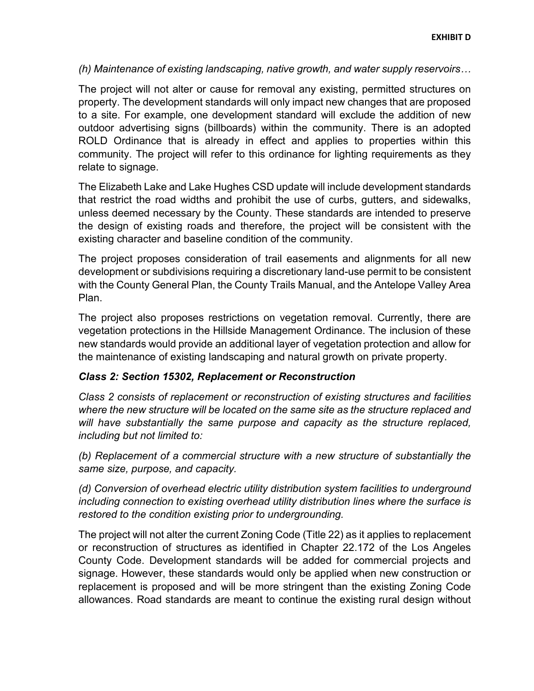*(h) Maintenance of existing landscaping, native growth, and water supply reservoirs…*

The project will not alter or cause for removal any existing, permitted structures on property. The development standards will only impact new changes that are proposed to a site. For example, one development standard will exclude the addition of new outdoor advertising signs (billboards) within the community. There is an adopted ROLD Ordinance that is already in effect and applies to properties within this community. The project will refer to this ordinance for lighting requirements as they relate to signage.

The Elizabeth Lake and Lake Hughes CSD update will include development standards that restrict the road widths and prohibit the use of curbs, gutters, and sidewalks, unless deemed necessary by the County. These standards are intended to preserve the design of existing roads and therefore, the project will be consistent with the existing character and baseline condition of the community.

The project proposes consideration of trail easements and alignments for all new development or subdivisions requiring a discretionary land-use permit to be consistent with the County General Plan, the County Trails Manual, and the Antelope Valley Area Plan.

The project also proposes restrictions on vegetation removal. Currently, there are vegetation protections in the Hillside Management Ordinance. The inclusion of these new standards would provide an additional layer of vegetation protection and allow for the maintenance of existing landscaping and natural growth on private property.

#### *Class 2: Section 15302, Replacement or Reconstruction*

*Class 2 consists of replacement or reconstruction of existing structures and facilities where the new structure will be located on the same site as the structure replaced and will have substantially the same purpose and capacity as the structure replaced, including but not limited to:*

*(b) Replacement of a commercial structure with a new structure of substantially the same size, purpose, and capacity.*

*(d) Conversion of overhead electric utility distribution system facilities to underground including connection to existing overhead utility distribution lines where the surface is restored to the condition existing prior to undergrounding.*

The project will not alter the current Zoning Code (Title 22) as it applies to replacement or reconstruction of structures as identified in Chapter 22.172 of the Los Angeles County Code. Development standards will be added for commercial projects and signage. However, these standards would only be applied when new construction or replacement is proposed and will be more stringent than the existing Zoning Code allowances. Road standards are meant to continue the existing rural design without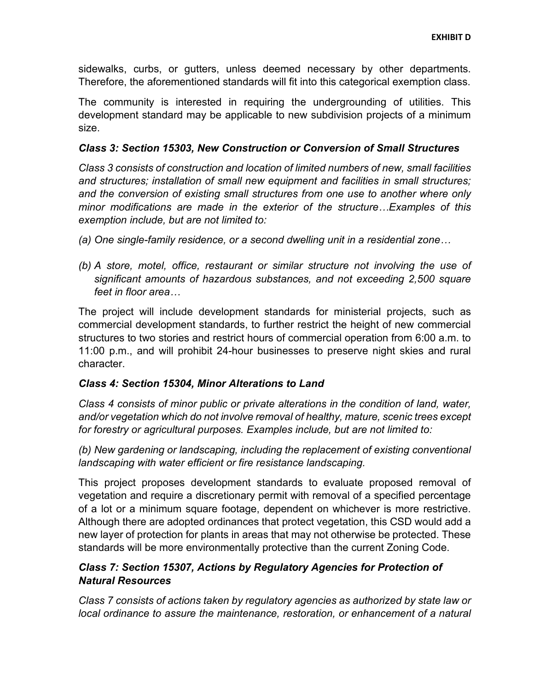sidewalks, curbs, or gutters, unless deemed necessary by other departments. Therefore, the aforementioned standards will fit into this categorical exemption class.

The community is interested in requiring the undergrounding of utilities. This development standard may be applicable to new subdivision projects of a minimum size.

#### *Class 3: Section 15303, New Construction or Conversion of Small Structures*

*Class 3 consists of construction and location of limited numbers of new, small facilities and structures; installation of small new equipment and facilities in small structures; and the conversion of existing small structures from one use to another where only minor modifications are made in the exterior of the structure…Examples of this exemption include, but are not limited to:*

- *(a) One single-family residence, or a second dwelling unit in a residential zone…*
- *(b) A store, motel, office, restaurant or similar structure not involving the use of significant amounts of hazardous substances, and not exceeding 2,500 square feet in floor area…*

The project will include development standards for ministerial projects, such as commercial development standards, to further restrict the height of new commercial structures to two stories and restrict hours of commercial operation from 6:00 a.m. to 11:00 p.m., and will prohibit 24-hour businesses to preserve night skies and rural character.

#### *Class 4: Section 15304, Minor Alterations to Land*

*Class 4 consists of minor public or private alterations in the condition of land, water, and/or vegetation which do not involve removal of healthy, mature, scenic trees except for forestry or agricultural purposes. Examples include, but are not limited to:* 

*(b) New gardening or landscaping, including the replacement of existing conventional landscaping with water efficient or fire resistance landscaping.* 

This project proposes development standards to evaluate proposed removal of vegetation and require a discretionary permit with removal of a specified percentage of a lot or a minimum square footage, dependent on whichever is more restrictive. Although there are adopted ordinances that protect vegetation, this CSD would add a new layer of protection for plants in areas that may not otherwise be protected. These standards will be more environmentally protective than the current Zoning Code.

# *Class 7: Section 15307, Actions by Regulatory Agencies for Protection of Natural Resources*

*Class 7 consists of actions taken by regulatory agencies as authorized by state law or local ordinance to assure the maintenance, restoration, or enhancement of a natural*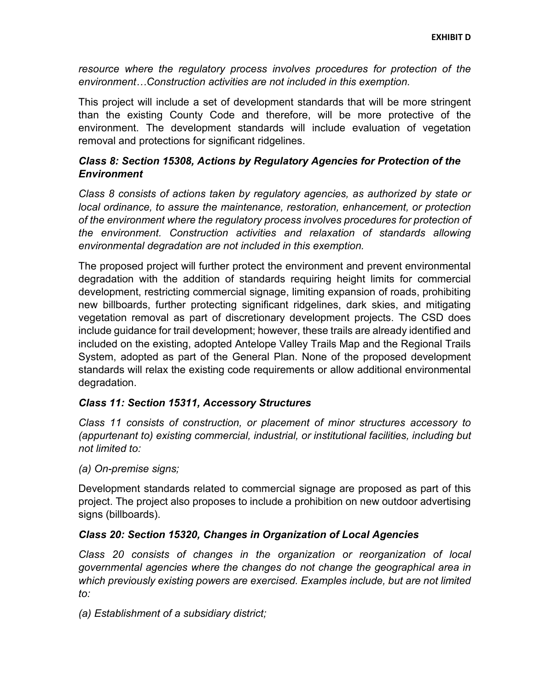resource where the regulatory process involves procedures for protection of the *environment…Construction activities are not included in this exemption.*

This project will include a set of development standards that will be more stringent than the existing County Code and therefore, will be more protective of the environment. The development standards will include evaluation of vegetation removal and protections for significant ridgelines.

# *Class 8: Section 15308, Actions by Regulatory Agencies for Protection of the Environment*

*Class 8 consists of actions taken by regulatory agencies, as authorized by state or local ordinance, to assure the maintenance, restoration, enhancement, or protection of the environment where the regulatory process involves procedures for protection of the environment. Construction activities and relaxation of standards allowing environmental degradation are not included in this exemption.*

The proposed project will further protect the environment and prevent environmental degradation with the addition of standards requiring height limits for commercial development, restricting commercial signage, limiting expansion of roads, prohibiting new billboards, further protecting significant ridgelines, dark skies, and mitigating vegetation removal as part of discretionary development projects. The CSD does include guidance for trail development; however, these trails are already identified and included on the existing, adopted Antelope Valley Trails Map and the Regional Trails System, adopted as part of the General Plan. None of the proposed development standards will relax the existing code requirements or allow additional environmental degradation.

# *Class 11: Section 15311, Accessory Structures*

*Class 11 consists of construction, or placement of minor structures accessory to (appurtenant to) existing commercial, industrial, or institutional facilities, including but not limited to:*

*(a) On-premise signs;*

Development standards related to commercial signage are proposed as part of this project. The project also proposes to include a prohibition on new outdoor advertising signs (billboards).

#### *Class 20: Section 15320, Changes in Organization of Local Agencies*

*Class 20 consists of changes in the organization or reorganization of local governmental agencies where the changes do not change the geographical area in which previously existing powers are exercised. Examples include, but are not limited to:*

*(a) Establishment of a subsidiary district;*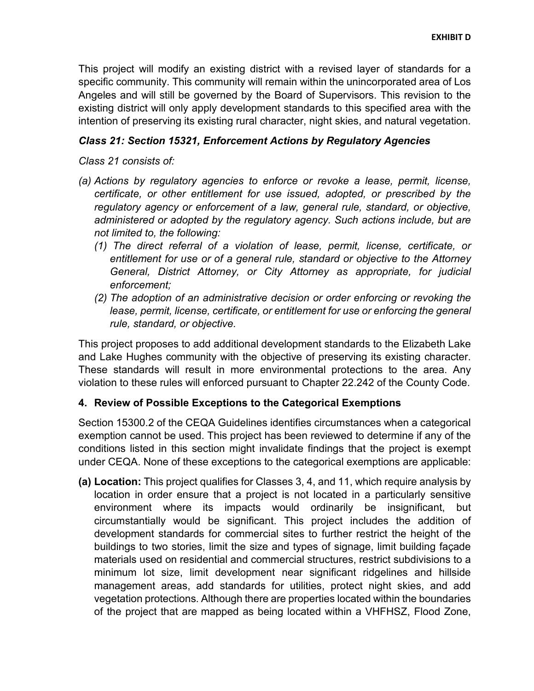This project will modify an existing district with a revised layer of standards for a specific community. This community will remain within the unincorporated area of Los Angeles and will still be governed by the Board of Supervisors. This revision to the existing district will only apply development standards to this specified area with the intention of preserving its existing rural character, night skies, and natural vegetation.

### *Class 21: Section 15321, Enforcement Actions by Regulatory Agencies*

*Class 21 consists of:*

- *(a) Actions by regulatory agencies to enforce or revoke a lease, permit, license, certificate, or other entitlement for use issued, adopted, or prescribed by the regulatory agency or enforcement of a law, general rule, standard, or objective, administered or adopted by the regulatory agency. Such actions include, but are not limited to, the following:*
	- *(1) The direct referral of a violation of lease, permit, license, certificate, or entitlement for use or of a general rule, standard or objective to the Attorney General, District Attorney, or City Attorney as appropriate, for judicial enforcement;*
	- *(2) The adoption of an administrative decision or order enforcing or revoking the*  lease, permit, license, certificate, or entitlement for use or enforcing the general *rule, standard, or objective.*

This project proposes to add additional development standards to the Elizabeth Lake and Lake Hughes community with the objective of preserving its existing character. These standards will result in more environmental protections to the area. Any violation to these rules will enforced pursuant to Chapter 22.242 of the County Code.

#### **4. Review of Possible Exceptions to the Categorical Exemptions**

Section 15300.2 of the CEQA Guidelines identifies circumstances when a categorical exemption cannot be used. This project has been reviewed to determine if any of the conditions listed in this section might invalidate findings that the project is exempt under CEQA. None of these exceptions to the categorical exemptions are applicable:

**(a) Location:** This project qualifies for Classes 3, 4, and 11, which require analysis by location in order ensure that a project is not located in a particularly sensitive environment where its impacts would ordinarily be insignificant, but circumstantially would be significant. This project includes the addition of development standards for commercial sites to further restrict the height of the buildings to two stories, limit the size and types of signage, limit building façade materials used on residential and commercial structures, restrict subdivisions to a minimum lot size, limit development near significant ridgelines and hillside management areas, add standards for utilities, protect night skies, and add vegetation protections. Although there are properties located within the boundaries of the project that are mapped as being located within a VHFHSZ, Flood Zone,